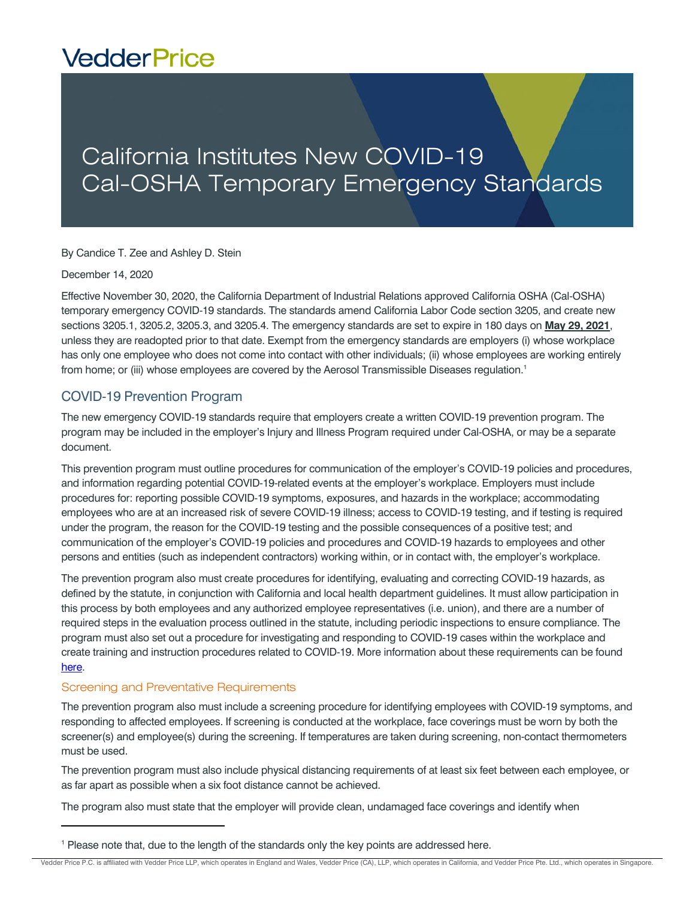# **VedderPrice**

## California Institutes New COVID-19 Cal-OSHA Temporary Emergency Standards

By Candice T. Zee and Ashley D. Stein

December 14, 2020

Effective November 30, 2020, the California Department of Industrial Relations approved California OSHA (Cal-OSHA) temporary emergency COVID-19 standards. The standards amend California Labor Code section 3205, and create new sections 3205.1, 3205.2, 3205.3, and 3205.4. The emergency standards are set to expire in 180 days on **May 29, 2021**, unless they are readopted prior to that date. Exempt from the emergency standards are employers (i) whose workplace has only one employee who does not come into contact with other individuals; (ii) whose employees are working entirely from home; or (iii) whose employees are covered by the Aerosol Transmissible Diseases regulation.<sup>1</sup>

### COVID-19 Prevention Program

The new emergency COVID-19 standards require that employers create a written COVID-19 prevention program. The program may be included in the employer's Injury and Illness Program required under Cal-OSHA, or may be a separate document.

This prevention program must outline procedures for communication of the employer's COVID-19 policies and procedures, and information regarding potential COVID-19-related events at the employer's workplace. Employers must include procedures for: reporting possible COVID-19 symptoms, exposures, and hazards in the workplace; accommodating employees who are at an increased risk of severe COVID-19 illness; access to COVID-19 testing, and if testing is required under the program, the reason for the COVID-19 testing and the possible consequences of a positive test; and communication of the employer's COVID-19 policies and procedures and COVID-19 hazards to employees and other persons and entities (such as independent contractors) working within, or in contact with, the employer's workplace.

The prevention program also must create procedures for identifying, evaluating and correcting COVID-19 hazards, as defined by the statute, in conjunction with California and local health department guidelines. It must allow participation in this process by both employees and any authorized employee representatives (i.e. union), and there are a number of required steps in the evaluation process outlined in the statute, including periodic inspections to ensure compliance. The program must also set out a procedure for investigating and responding to COVID-19 cases within the workplace and create training and instruction procedures related to COVID-19. More information about these requirements can be found [here.](https://www.dir.ca.gov/dosh/coronavirus/COVID19FAQs.html) 

#### Screening and Preventative Requirements

The prevention program also must include a screening procedure for identifying employees with COVID-19 symptoms, and responding to affected employees. If screening is conducted at the workplace, face coverings must be worn by both the screener(s) and employee(s) during the screening. If temperatures are taken during screening, non-contact thermometers must be used.

The prevention program must also include physical distancing requirements of at least six feet between each employee, or as far apart as possible when a six foot distance cannot be achieved.

The program also must state that the employer will provide clean, undamaged face coverings and identify when

<sup>&</sup>lt;sup>1</sup> Please note that, due to the length of the standards only the key points are addressed here.

Vedder Price P.C. is affiliated with Vedder Price LLP, which operates in England and Wales, Vedder Price (CA), LLP, which operates in California, and Vedder Price Pte. Ltd., which operates in Singapore.